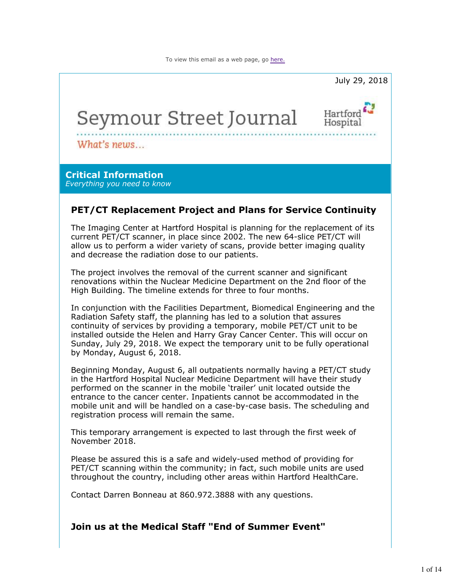

#### **Join us at the Medical Staff "End of Summer Event"**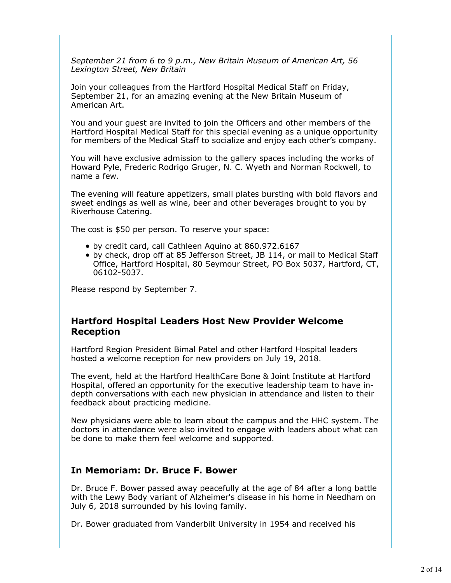*September 21 from 6 to 9 p.m., New Britain Museum of American Art, 56 Lexington Street, New Britain*

Join your colleagues from the Hartford Hospital Medical Staff on Friday, September 21, for an amazing evening at the New Britain Museum of American Art.

You and your guest are invited to join the Officers and other members of the Hartford Hospital Medical Staff for this special evening as a unique opportunity for members of the Medical Staff to socialize and enjoy each other's company.

You will have exclusive admission to the gallery spaces including the works of Howard Pyle, Frederic Rodrigo Gruger, N. C. Wyeth and Norman Rockwell, to name a few.

The evening will feature appetizers, small plates bursting with bold flavors and sweet endings as well as wine, beer and other beverages brought to you by Riverhouse Catering.

The cost is \$50 per person. To reserve your space:

- by credit card, call Cathleen Aquino at 860.972.6167
- by check, drop off at 85 Jefferson Street, JB 114, or mail to Medical Staff Office, Hartford Hospital, 80 Seymour Street, PO Box 5037, Hartford, CT, 06102-5037.

Please respond by September 7.

#### **Hartford Hospital Leaders Host New Provider Welcome Reception**

Hartford Region President Bimal Patel and other Hartford Hospital leaders hosted a welcome reception for new providers on July 19, 2018.

The event, held at the Hartford HealthCare Bone & Joint Institute at Hartford Hospital, offered an opportunity for the executive leadership team to have indepth conversations with each new physician in attendance and listen to their feedback about practicing medicine.

New physicians were able to learn about the campus and the HHC system. The doctors in attendance were also invited to engage with leaders about what can be done to make them feel welcome and supported.

### **In Memoriam: Dr. Bruce F. Bower**

Dr. Bruce F. Bower passed away peacefully at the age of 84 after a long battle with the Lewy Body variant of Alzheimer's disease in his home in Needham on July 6, 2018 surrounded by his loving family.

Dr. Bower graduated from Vanderbilt University in 1954 and received his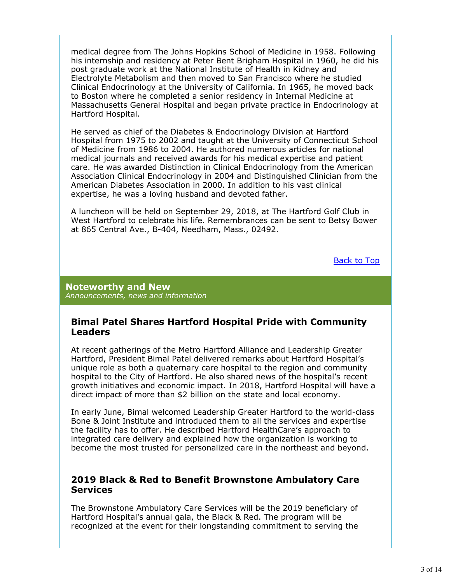medical degree from The Johns Hopkins School of Medicine in 1958. Following his internship and residency at Peter Bent Brigham Hospital in 1960, he did his post graduate work at the National Institute of Health in Kidney and Electrolyte Metabolism and then moved to San Francisco where he studied Clinical Endocrinology at the University of California. In 1965, he moved back to Boston where he completed a senior residency in Internal Medicine at Massachusetts General Hospital and began private practice in Endocrinology at Hartford Hospital.

He served as chief of the Diabetes & Endocrinology Division at Hartford Hospital from 1975 to 2002 and taught at the University of Connecticut School of Medicine from 1986 to 2004. He authored numerous articles for national medical journals and received awards for his medical expertise and patient care. He was awarded Distinction in Clinical Endocrinology from the American Association Clinical Endocrinology in 2004 and Distinguished Clinician from the American Diabetes Association in 2000. In addition to his vast clinical expertise, he was a loving husband and devoted father.

A luncheon will be held on September 29, 2018, at The Hartford Golf Club in West Hartford to celebrate his life. Remembrances can be sent to Betsy Bower at 865 Central Ave., B-404, Needham, Mass., 02492.

Back to Top

**Noteworthy and New** *Announcements, news and information*

#### **Bimal Patel Shares Hartford Hospital Pride with Community Leaders**

At recent gatherings of the Metro Hartford Alliance and Leadership Greater Hartford, President Bimal Patel delivered remarks about Hartford Hospital's unique role as both a quaternary care hospital to the region and community hospital to the City of Hartford. He also shared news of the hospital's recent growth initiatives and economic impact. In 2018, Hartford Hospital will have a direct impact of more than \$2 billion on the state and local economy.

In early June, Bimal welcomed Leadership Greater Hartford to the world-class Bone & Joint Institute and introduced them to all the services and expertise the facility has to offer. He described Hartford HealthCare's approach to integrated care delivery and explained how the organization is working to become the most trusted for personalized care in the northeast and beyond.

#### **2019 Black & Red to Benefit Brownstone Ambulatory Care Services**

The Brownstone Ambulatory Care Services will be the 2019 beneficiary of Hartford Hospital's annual gala, the Black & Red. The program will be recognized at the event for their longstanding commitment to serving the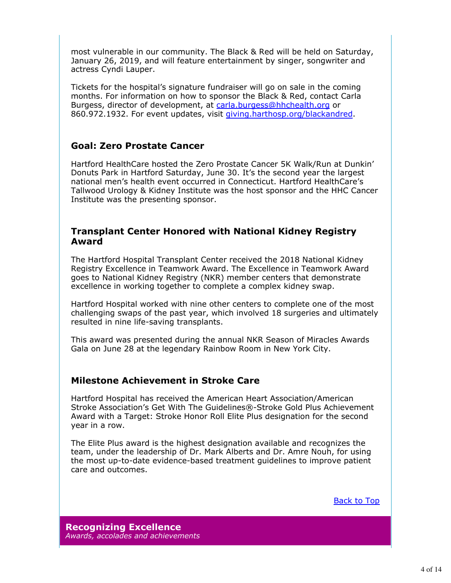most vulnerable in our community. The Black & Red will be held on Saturday, January 26, 2019, and will feature entertainment by singer, songwriter and actress Cyndi Lauper.

Tickets for the hospital's signature fundraiser will go on sale in the coming months. For information on how to sponsor the Black & Red, contact Carla Burgess, director of development, at carla.burgess@hhchealth.org or 860.972.1932. For event updates, visit giving.harthosp.org/blackandred.

# **Goal: Zero Prostate Cancer**

Hartford HealthCare hosted the Zero Prostate Cancer 5K Walk/Run at Dunkin' Donuts Park in Hartford Saturday, June 30. It's the second year the largest national men's health event occurred in Connecticut. Hartford HealthCare's Tallwood Urology & Kidney Institute was the host sponsor and the HHC Cancer Institute was the presenting sponsor.

### **Transplant Center Honored with National Kidney Registry Award**

The Hartford Hospital Transplant Center received the 2018 National Kidney Registry Excellence in Teamwork Award. The Excellence in Teamwork Award goes to National Kidney Registry (NKR) member centers that demonstrate excellence in working together to complete a complex kidney swap.

Hartford Hospital worked with nine other centers to complete one of the most challenging swaps of the past year, which involved 18 surgeries and ultimately resulted in nine life-saving transplants.

This award was presented during the annual NKR Season of Miracles Awards Gala on June 28 at the legendary Rainbow Room in New York City.

# **Milestone Achievement in Stroke Care**

Hartford Hospital has received the American Heart Association/American Stroke Association's Get With The Guidelines®-Stroke Gold Plus Achievement Award with a Target: Stroke Honor Roll Elite Plus designation for the second year in a row.

The Elite Plus award is the highest designation available and recognizes the team, under the leadership of Dr. Mark Alberts and Dr. Amre Nouh, for using the most up-to-date evidence-based treatment guidelines to improve patient care and outcomes.

Back to Top

**Recognizing Excellence** *Awards, accolades and achievements*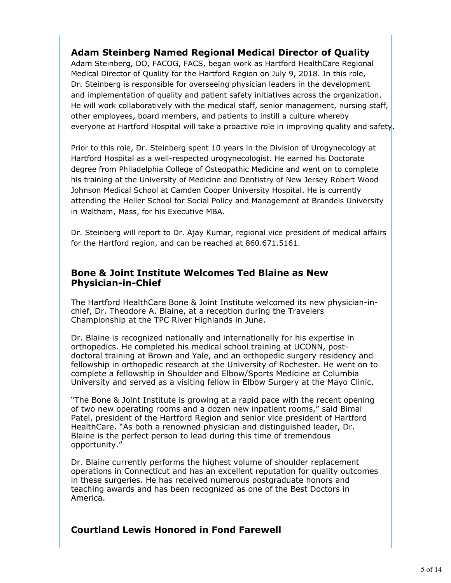# **Adam Steinberg Named Regional Medical Director of Quality**

Adam Steinberg, DO, FACOG, FACS, began work as Hartford HealthCare Regional Medical Director of Quality for the Hartford Region on July 9, 2018. In this role, Dr. Steinberg is responsible for overseeing physician leaders in the development and implementation of quality and patient safety initiatives across the organization. He will work collaboratively with the medical staff, senior management, nursing staff, other employees, board members, and patients to instill a culture whereby everyone at Hartford Hospital will take a proactive role in improving quality and safety.

Prior to this role, Dr. Steinberg spent 10 years in the Division of Urogynecology at Hartford Hospital as a well-respected urogynecologist. He earned his Doctorate degree from Philadelphia College of Osteopathic Medicine and went on to complete his training at the University of Medicine and Dentistry of New Jersey Robert Wood Johnson Medical School at Camden Cooper University Hospital. He is currently attending the Heller School for Social Policy and Management at Brandeis University in Waltham, Mass, for his Executive MBA.

Dr. Steinberg will report to Dr. Ajay Kumar, regional vice president of medical affairs for the Hartford region, and can be reached at 860.671.5161.

### **Bone & Joint Institute Welcomes Ted Blaine as New Physician-in-Chief**

The Hartford HealthCare Bone & Joint Institute welcomed its new physician-inchief, Dr. Theodore A. Blaine, at a reception during the Travelers Championship at the TPC River Highlands in June.

Dr. Blaine is recognized nationally and internationally for his expertise in orthopedics. He completed his medical school training at UCONN, postdoctoral training at Brown and Yale, and an orthopedic surgery residency and fellowship in orthopedic research at the University of Rochester. He went on to complete a fellowship in Shoulder and Elbow/Sports Medicine at Columbia University and served as a visiting fellow in Elbow Surgery at the Mayo Clinic.

"The Bone & Joint Institute is growing at a rapid pace with the recent opening of two new operating rooms and a dozen new inpatient rooms," said Bimal Patel, president of the Hartford Region and senior vice president of Hartford HealthCare. "As both a renowned physician and distinguished leader, Dr. Blaine is the perfect person to lead during this time of tremendous opportunity."

Dr. Blaine currently performs the highest volume of shoulder replacement operations in Connecticut and has an excellent reputation for quality outcomes in these surgeries. He has received numerous postgraduate honors and teaching awards and has been recognized as one of the Best Doctors in America.

# **Courtland Lewis Honored in Fond Farewell**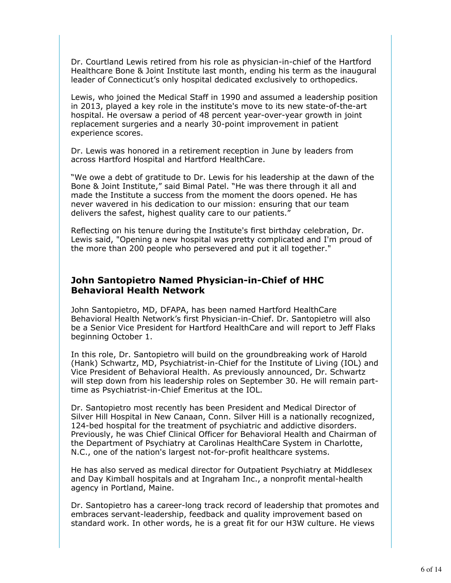Dr. Courtland Lewis retired from his role as physician-in-chief of the Hartford Healthcare Bone & Joint Institute last month, ending his term as the inaugural leader of Connecticut's only hospital dedicated exclusively to orthopedics.

Lewis, who joined the Medical Staff in 1990 and assumed a leadership position in 2013, played a key role in the institute's move to its new state-of-the-art hospital. He oversaw a period of 48 percent year-over-year growth in joint replacement surgeries and a nearly 30-point improvement in patient experience scores.

Dr. Lewis was honored in a retirement reception in June by leaders from across Hartford Hospital and Hartford HealthCare.

"We owe a debt of gratitude to Dr. Lewis for his leadership at the dawn of the Bone & Joint Institute," said Bimal Patel. "He was there through it all and made the Institute a success from the moment the doors opened. He has never wavered in his dedication to our mission: ensuring that our team delivers the safest, highest quality care to our patients."

Reflecting on his tenure during the Institute's first birthday celebration, Dr. Lewis said, "Opening a new hospital was pretty complicated and I'm proud of the more than 200 people who persevered and put it all together."

#### **John Santopietro Named Physician-in-Chief of HHC Behavioral Health Network**

John Santopietro, MD, DFAPA, has been named Hartford HealthCare Behavioral Health Network's first Physician-in-Chief. Dr. Santopietro will also be a Senior Vice President for Hartford HealthCare and will report to Jeff Flaks beginning October 1.

In this role, Dr. Santopietro will build on the groundbreaking work of Harold (Hank) Schwartz, MD, Psychiatrist-in-Chief for the Institute of Living (IOL) and Vice President of Behavioral Health. As previously announced, Dr. Schwartz will step down from his leadership roles on September 30. He will remain parttime as Psychiatrist-in-Chief Emeritus at the IOL.

Dr. Santopietro most recently has been President and Medical Director of Silver Hill Hospital in New Canaan, Conn. Silver Hill is a nationally recognized, 124-bed hospital for the treatment of psychiatric and addictive disorders. Previously, he was Chief Clinical Officer for Behavioral Health and Chairman of the Department of Psychiatry at Carolinas HealthCare System in Charlotte, N.C., one of the nation's largest not-for-profit healthcare systems.

He has also served as medical director for Outpatient Psychiatry at Middlesex and Day Kimball hospitals and at Ingraham Inc., a nonprofit mental-health agency in Portland, Maine.

Dr. Santopietro has a career-long track record of leadership that promotes and embraces servant-leadership, feedback and quality improvement based on standard work. In other words, he is a great fit for our H3W culture. He views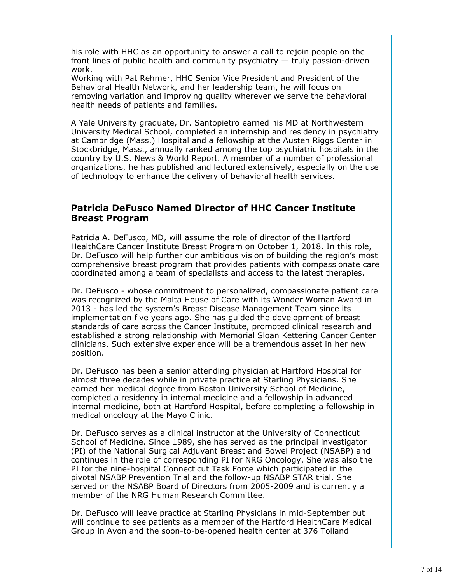his role with HHC as an opportunity to answer a call to rejoin people on the front lines of public health and community psychiatry — truly passion-driven work.

Working with Pat Rehmer, HHC Senior Vice President and President of the Behavioral Health Network, and her leadership team, he will focus on removing variation and improving quality wherever we serve the behavioral health needs of patients and families.

A Yale University graduate, Dr. Santopietro earned his MD at Northwestern University Medical School, completed an internship and residency in psychiatry at Cambridge (Mass.) Hospital and a fellowship at the Austen Riggs Center in Stockbridge, Mass., annually ranked among the top psychiatric hospitals in the country by U.S. News & World Report. A member of a number of professional organizations, he has published and lectured extensively, especially on the use of technology to enhance the delivery of behavioral health services.

### **Patricia DeFusco Named Director of HHC Cancer Institute Breast Program**

Patricia A. DeFusco, MD, will assume the role of director of the Hartford HealthCare Cancer Institute Breast Program on October 1, 2018. In this role, Dr. DeFusco will help further our ambitious vision of building the region's most comprehensive breast program that provides patients with compassionate care coordinated among a team of specialists and access to the latest therapies.

Dr. DeFusco - whose commitment to personalized, compassionate patient care was recognized by the Malta House of Care with its Wonder Woman Award in 2013 - has led the system's Breast Disease Management Team since its implementation five years ago. She has guided the development of breast standards of care across the Cancer Institute, promoted clinical research and established a strong relationship with Memorial Sloan Kettering Cancer Center clinicians. Such extensive experience will be a tremendous asset in her new position.

Dr. DeFusco has been a senior attending physician at Hartford Hospital for almost three decades while in private practice at Starling Physicians. She earned her medical degree from Boston University School of Medicine, completed a residency in internal medicine and a fellowship in advanced internal medicine, both at Hartford Hospital, before completing a fellowship in medical oncology at the Mayo Clinic.

Dr. DeFusco serves as a clinical instructor at the University of Connecticut School of Medicine. Since 1989, she has served as the principal investigator (PI) of the National Surgical Adjuvant Breast and Bowel Project (NSABP) and continues in the role of corresponding PI for NRG Oncology. She was also the PI for the nine-hospital Connecticut Task Force which participated in the pivotal NSABP Prevention Trial and the follow-up NSABP STAR trial. She served on the NSABP Board of Directors from 2005-2009 and is currently a member of the NRG Human Research Committee.

Dr. DeFusco will leave practice at Starling Physicians in mid-September but will continue to see patients as a member of the Hartford HealthCare Medical Group in Avon and the soon-to-be-opened health center at 376 Tolland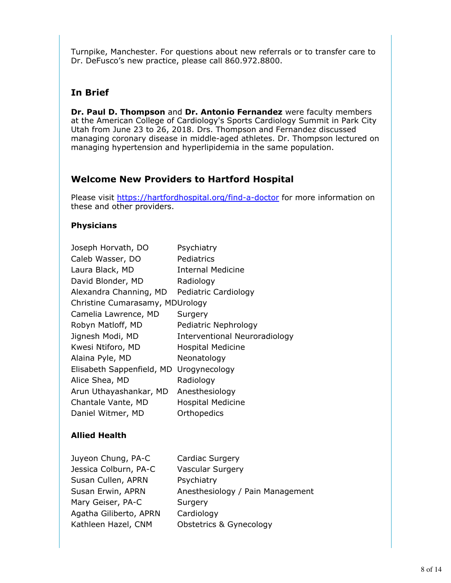Turnpike, Manchester. For questions about new referrals or to transfer care to Dr. DeFusco's new practice, please call 860.972.8800.

# **In Brief**

**Dr. Paul D. Thompson** and **Dr. Antonio Fernandez** were faculty members at the American College of Cardiology's Sports Cardiology Summit in Park City Utah from June 23 to 26, 2018. Drs. Thompson and Fernandez discussed managing coronary disease in middle-aged athletes. Dr. Thompson lectured on managing hypertension and hyperlipidemia in the same population.

# **Welcome New Providers to Hartford Hospital**

Please visit https://hartfordhospital.org/find-a-doctor for more information on these and other providers.

# **Physicians**

| Joseph Horvath, DO              | Psychiatry                    |  |
|---------------------------------|-------------------------------|--|
| Caleb Wasser, DO                | Pediatrics                    |  |
| Laura Black, MD                 | <b>Internal Medicine</b>      |  |
| David Blonder, MD               | Radiology                     |  |
| Alexandra Channing, MD          | Pediatric Cardiology          |  |
| Christine Cumarasamy, MDUrology |                               |  |
| Camelia Lawrence, MD            | Surgery                       |  |
| Robyn Matloff, MD               | Pediatric Nephrology          |  |
| Jignesh Modi, MD                | Interventional Neuroradiology |  |
| Kwesi Ntiforo, MD               | <b>Hospital Medicine</b>      |  |
| Alaina Pyle, MD                 | Neonatology                   |  |
| Elisabeth Sappenfield, MD       | Urogynecology                 |  |
| Alice Shea, MD                  | Radiology                     |  |
| Arun Uthayashankar, MD          | Anesthesiology                |  |
| Chantale Vante, MD              | <b>Hospital Medicine</b>      |  |
| Daniel Witmer, MD               | Orthopedics                   |  |
|                                 |                               |  |

# **Allied Health**

| Juyeon Chung, PA-C     | Cardiac Surgery                    |
|------------------------|------------------------------------|
| Jessica Colburn, PA-C  | <b>Vascular Surgery</b>            |
| Susan Cullen, APRN     | Psychiatry                         |
| Susan Erwin, APRN      | Anesthesiology / Pain Management   |
| Mary Geiser, PA-C      | Surgery                            |
| Agatha Giliberto, APRN | Cardiology                         |
| Kathleen Hazel, CNM    | <b>Obstetrics &amp; Gynecology</b> |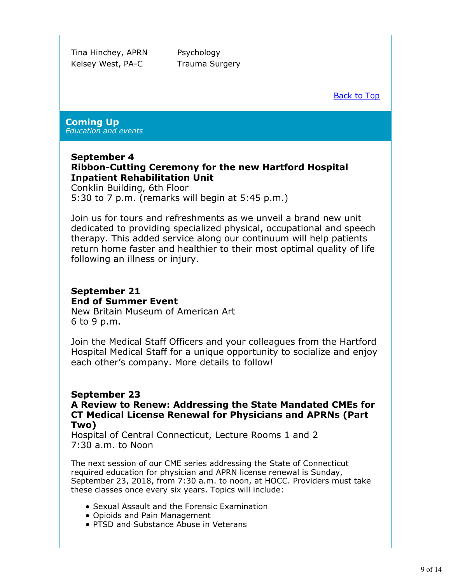Tina Hinchey, APRN Psychology Kelsey West, PA-C Trauma Surgery

Back to Top

#### **Coming Up** *Education and events*

### **September 4 Ribbon-Cutting Ceremony for the new Hartford Hospital Inpatient Rehabilitation Unit**

Conklin Building, 6th Floor 5:30 to 7 p.m. (remarks will begin at 5:45 p.m.)

Join us for tours and refreshments as we unveil a brand new unit dedicated to providing specialized physical, occupational and speech therapy. This added service along our continuum will help patients return home faster and healthier to their most optimal quality of life following an illness or injury.

# **September 21 End of Summer Event**

New Britain Museum of American Art 6 to 9 p.m.

Join the Medical Staff Officers and your colleagues from the Hartford Hospital Medical Staff for a unique opportunity to socialize and enjoy each other's company. More details to follow!

# **September 23**

#### **A Review to Renew: Addressing the State Mandated CMEs for CT Medical License Renewal for Physicians and APRNs (Part Two)**

Hospital of Central Connecticut, Lecture Rooms 1 and 2 7:30 a.m. to Noon

The next session of our CME series addressing the State of Connecticut required education for physician and APRN license renewal is Sunday, September 23, 2018, from 7:30 a.m. to noon, at HOCC. Providers must take these classes once every six years. Topics will include:

- Sexual Assault and the Forensic Examination
- Opioids and Pain Management
- PTSD and Substance Abuse in Veterans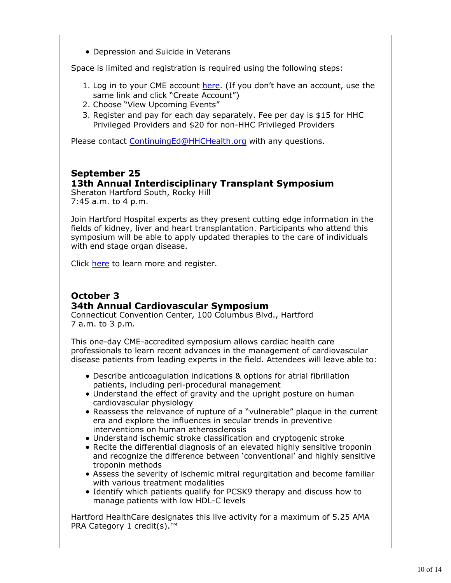Depression and Suicide in Veterans

Space is limited and registration is required using the following steps:

- 1. Log in to your CME account here. (If you don't have an account, use the same link and click "Create Account")
- 2. Choose "View Upcoming Events"
- 3. Register and pay for each day separately. Fee per day is \$15 for HHC Privileged Providers and \$20 for non-HHC Privileged Providers

Please contact ContinuingEd@HHCHealth.org with any questions.

# **September 25**

### **13th Annual Interdisciplinary Transplant Symposium**

Sheraton Hartford South, Rocky Hill 7:45 a.m. to 4 p.m.

Join Hartford Hospital experts as they present cutting edge information in the fields of kidney, liver and heart transplantation. Participants who attend this symposium will be able to apply updated therapies to the care of individuals with end stage organ disease.

Click here to learn more and register.

# **October 3 34th Annual Cardiovascular Symposium**

Connecticut Convention Center, 100 Columbus Blvd., Hartford 7 a.m. to 3 p.m.

This one-day CME-accredited symposium allows cardiac health care professionals to learn recent advances in the management of cardiovascular disease patients from leading experts in the field. Attendees will leave able to:

- Describe anticoagulation indications & options for atrial fibrillation patients, including peri-procedural management
- Understand the effect of gravity and the upright posture on human cardiovascular physiology
- Reassess the relevance of rupture of a "vulnerable" plaque in the current era and explore the influences in secular trends in preventive interventions on human atherosclerosis
- Understand ischemic stroke classification and cryptogenic stroke
- Recite the differential diagnosis of an elevated highly sensitive troponin and recognize the difference between 'conventional' and highly sensitive troponin methods
- Assess the severity of ischemic mitral regurgitation and become familiar with various treatment modalities
- Identify which patients qualify for PCSK9 therapy and discuss how to manage patients with low HDL-C levels

Hartford HealthCare designates this live activity for a maximum of 5.25 AMA PRA Category 1 credit(s).<sup>™</sup>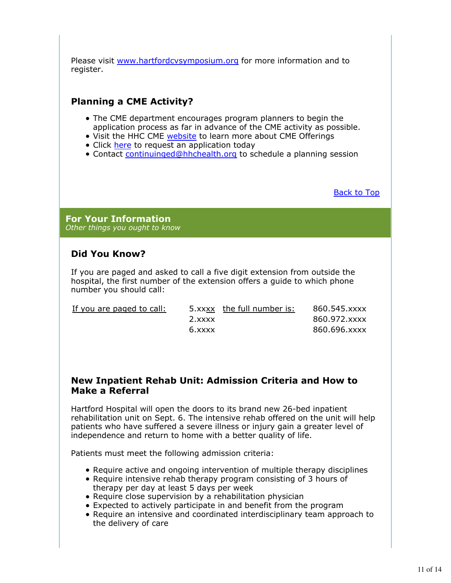Please visit www.hartfordcvsymposium.org for more information and to register.

# **Planning a CME Activity?**

- The CME department encourages program planners to begin the application process as far in advance of the CME activity as possible.
- Visit the HHC CME website to learn more about CME Offerings
- Click here to request an application today
- Contact continuinged@hhchealth.org to schedule a planning session

Back to Top

**For Your Information** *Other things you ought to know*

# **Did You Know?**

If you are paged and asked to call a five digit extension from outside the hospital, the first number of the extension offers a guide to which phone number you should call:

If you are paged to call:  $5.56$ 

|        | 5.xxxx the full number is: | 860.545.xxxx |
|--------|----------------------------|--------------|
| 2.xxxx |                            | 860.972.xxxx |
| 6.xxxx |                            | 860.696.xxxx |

### **New Inpatient Rehab Unit: Admission Criteria and How to Make a Referral**

Hartford Hospital will open the doors to its brand new 26-bed inpatient rehabilitation unit on Sept. 6. The intensive rehab offered on the unit will help patients who have suffered a severe illness or injury gain a greater level of independence and return to home with a better quality of life.

Patients must meet the following admission criteria:

- Require active and ongoing intervention of multiple therapy disciplines
- Require intensive rehab therapy program consisting of 3 hours of therapy per day at least 5 days per week
- Require close supervision by a rehabilitation physician
- Expected to actively participate in and benefit from the program
- Require an intensive and coordinated interdisciplinary team approach to the delivery of care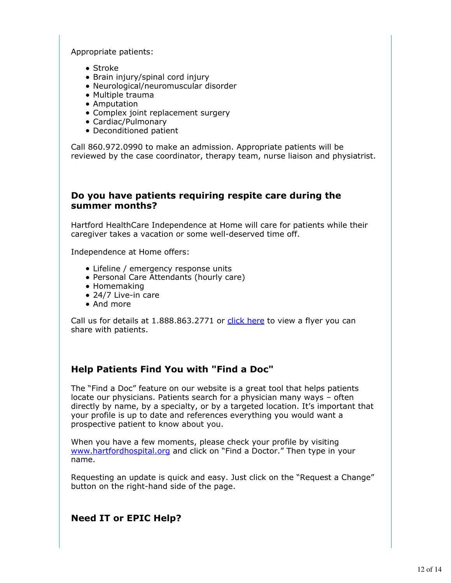Appropriate patients:

- Stroke
- Brain injury/spinal cord injury
- Neurological/neuromuscular disorder
- Multiple trauma
- Amputation
- Complex joint replacement surgery
- Cardiac/Pulmonary
- Deconditioned patient

Call 860.972.0990 to make an admission. Appropriate patients will be reviewed by the case coordinator, therapy team, nurse liaison and physiatrist.

### **Do you have patients requiring respite care during the summer months?**

Hartford HealthCare Independence at Home will care for patients while their caregiver takes a vacation or some well-deserved time off.

Independence at Home offers:

- Lifeline / emergency response units
- Personal Care Attendants (hourly care)
- Homemaking
- 24/7 Live-in care
- And more

Call us for details at 1.888.863.2771 or click here to view a flyer you can share with patients.

# **Help Patients Find You with "Find a Doc"**

The "Find a Doc" feature on our website is a great tool that helps patients locate our physicians. Patients search for a physician many ways – often directly by name, by a specialty, or by a targeted location. It's important that your profile is up to date and references everything you would want a prospective patient to know about you.

When you have a few moments, please check your profile by visiting www.hartfordhospital.org and click on "Find a Doctor." Then type in your name.

Requesting an update is quick and easy. Just click on the "Request a Change" button on the right-hand side of the page.

# **Need IT or EPIC Help?**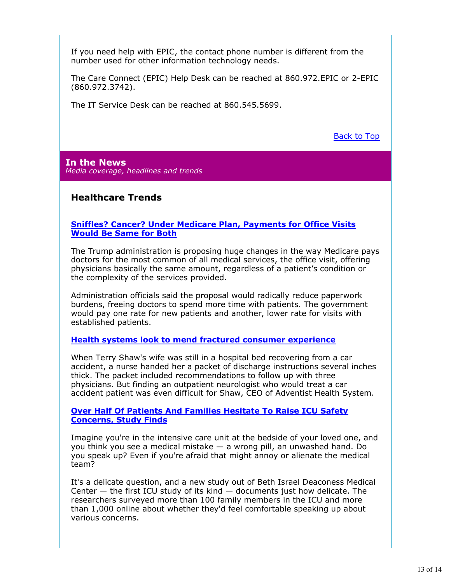If you need help with EPIC, the contact phone number is different from the number used for other information technology needs.

The Care Connect (EPIC) Help Desk can be reached at 860.972.EPIC or 2-EPIC (860.972.3742).

The IT Service Desk can be reached at 860.545.5699.

Back to Top

**In the News** *Media coverage, headlines and trends*

# **Healthcare Trends**

#### **Sniffles? Cancer? Under Medicare Plan, Payments for Office Visits Would Be Same for Both**

The Trump administration is proposing huge changes in the way Medicare pays doctors for the most common of all medical services, the office visit, offering physicians basically the same amount, regardless of a patient's condition or the complexity of the services provided.

Administration officials said the proposal would radically reduce paperwork burdens, freeing doctors to spend more time with patients. The government would pay one rate for new patients and another, lower rate for visits with established patients.

#### **Health systems look to mend fractured consumer experience**

When Terry Shaw's wife was still in a hospital bed recovering from a car accident, a nurse handed her a packet of discharge instructions several inches thick. The packet included recommendations to follow up with three physicians. But finding an outpatient neurologist who would treat a car accident patient was even difficult for Shaw, CEO of Adventist Health System.

#### **Over Half Of Patients And Families Hesitate To Raise ICU Safety Concerns, Study Finds**

Imagine you're in the intensive care unit at the bedside of your loved one, and you think you see a medical mistake — a wrong pill, an unwashed hand. Do you speak up? Even if you're afraid that might annoy or alienate the medical team?

It's a delicate question, and a new study out of Beth Israel Deaconess Medical Center — the first ICU study of its kind — documents just how delicate. The researchers surveyed more than 100 family members in the ICU and more than 1,000 online about whether they'd feel comfortable speaking up about various concerns.